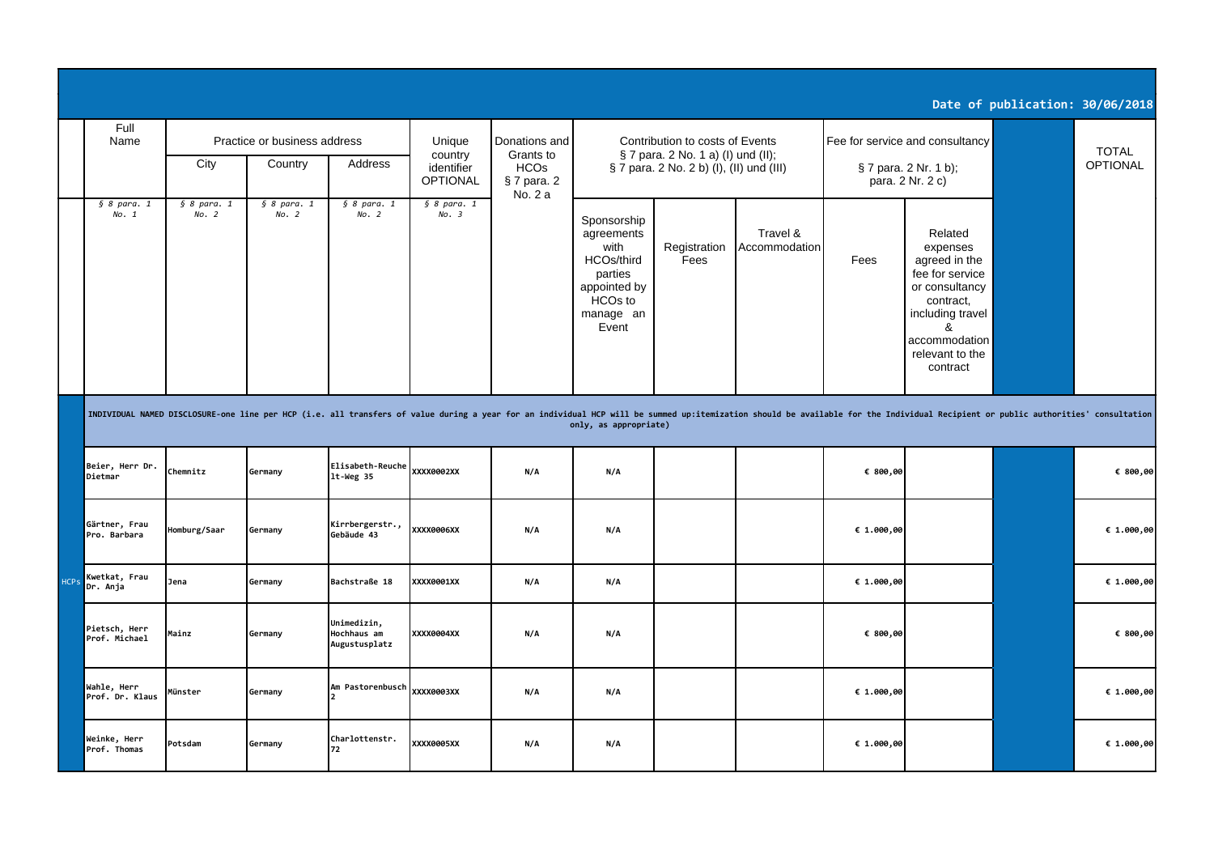|                                          |                              |                                                    |                                             |                              |     |                                                                                                                         |                                                                       |                                                                                                                                                                                                                                |                                                                                                                   |                                                                                                                                                                 | Date of publication: 30/06/2018 |                                                                              |  |                          |
|------------------------------------------|------------------------------|----------------------------------------------------|---------------------------------------------|------------------------------|-----|-------------------------------------------------------------------------------------------------------------------------|-----------------------------------------------------------------------|--------------------------------------------------------------------------------------------------------------------------------------------------------------------------------------------------------------------------------|-------------------------------------------------------------------------------------------------------------------|-----------------------------------------------------------------------------------------------------------------------------------------------------------------|---------------------------------|------------------------------------------------------------------------------|--|--------------------------|
| Full<br>Name                             | City                         | Practice or business address<br>Country<br>Address |                                             |                              |     | Unique<br>country<br>identifier<br><b>OPTIONAL</b>                                                                      | Donations and<br>Grants to<br><b>HCOs</b><br>$§$ 7 para. 2<br>No. 2 a |                                                                                                                                                                                                                                | Contribution to costs of Events<br>§ 7 para. 2 No. 1 a) (I) und (II);<br>§ 7 para. 2 No. 2 b) (I), (II) und (III) |                                                                                                                                                                 |                                 | Fee for service and consultancy<br>§ 7 para. 2 Nr. 1 b);<br>para. 2 Nr. 2 c) |  | <b>TOTAL</b><br>OPTIONAL |
| § 8 <i>para</i> . 1<br>No. 1             | § 8 <i>para</i> . 1<br>No. 2 | § 8 <i>para</i> . 1<br>No. 2                       | § 8 <i>para</i> . 1<br>No. 2                | § 8 <i>para</i> . 1<br>No. 3 |     | Sponsorship<br>agreements<br>with<br>HCOs/third<br>parties<br>appointed by<br>HCO <sub>s</sub> to<br>manage an<br>Event | Registration<br>Fees                                                  | Travel &<br>Accommodation                                                                                                                                                                                                      | Fees                                                                                                              | Related<br>expenses<br>agreed in the<br>fee for service<br>or consultancy<br>contract,<br>including travel<br>ጼ<br>accommodation<br>relevant to the<br>contract |                                 |                                                                              |  |                          |
|                                          |                              |                                                    |                                             |                              |     | only, as appropriate)                                                                                                   |                                                                       | INDIVIDUAL NAMED DISCLOSURE-one line per HCP (i.e. all transfers of value during a year for an individual HCP will be summed up:itemization should be available for the Individual Recipient or public authorities' consultati |                                                                                                                   |                                                                                                                                                                 |                                 |                                                                              |  |                          |
| Beier, Herr Dr.<br>Dietmar               | Chemnitz                     | Germany                                            | Elisabeth-Reuche<br>$lt$ -Weg 35            | XXXX0002XX                   | N/A | N/A                                                                                                                     |                                                                       |                                                                                                                                                                                                                                | € 800,00                                                                                                          |                                                                                                                                                                 |                                 | € 800,00                                                                     |  |                          |
| Gärtner, Frau<br>Pro. Barbara            | Homburg/Saar                 | Germany                                            | Kirrbergerstr.,<br>Gebäude 43               | XXXX0006XX                   | N/A | N/A                                                                                                                     |                                                                       |                                                                                                                                                                                                                                | € 1.000,00                                                                                                        |                                                                                                                                                                 |                                 | € 1.000,00                                                                   |  |                          |
| Kwetkat, Frau<br><b>HCPs</b><br>Dr. Anja | Jena                         | Germany                                            | Bachstraße 18                               | XXXX0001XX                   | N/A | N/A                                                                                                                     |                                                                       |                                                                                                                                                                                                                                | € $1.000,00$                                                                                                      |                                                                                                                                                                 |                                 | € $1.000,00$                                                                 |  |                          |
| Pietsch, Herr<br>Prof. Michael           | Mainz                        | Germany                                            | Unimedizin,<br>Hochhaus am<br>Augustusplatz | XXXX0004XX                   | N/A | N/A                                                                                                                     |                                                                       |                                                                                                                                                                                                                                | € 800,00                                                                                                          |                                                                                                                                                                 |                                 | € 800,00                                                                     |  |                          |
| Wahle, Herr<br>Prof. Dr. Klaus           | Münster                      | Germany                                            | Am Pastorenbusch                            | XXXX0003XX                   | N/A | N/A                                                                                                                     |                                                                       |                                                                                                                                                                                                                                | € $1.000,00$                                                                                                      |                                                                                                                                                                 |                                 | € $1.000,00$                                                                 |  |                          |
| Weinke, Herr<br>Prof. Thomas             | Potsdam                      | Germany                                            | Charlottenstr.<br>72                        | <b>XXXX0005XX</b>            | N/A | N/A                                                                                                                     |                                                                       |                                                                                                                                                                                                                                | € 1.000,00                                                                                                        |                                                                                                                                                                 |                                 | € 1.000,00                                                                   |  |                          |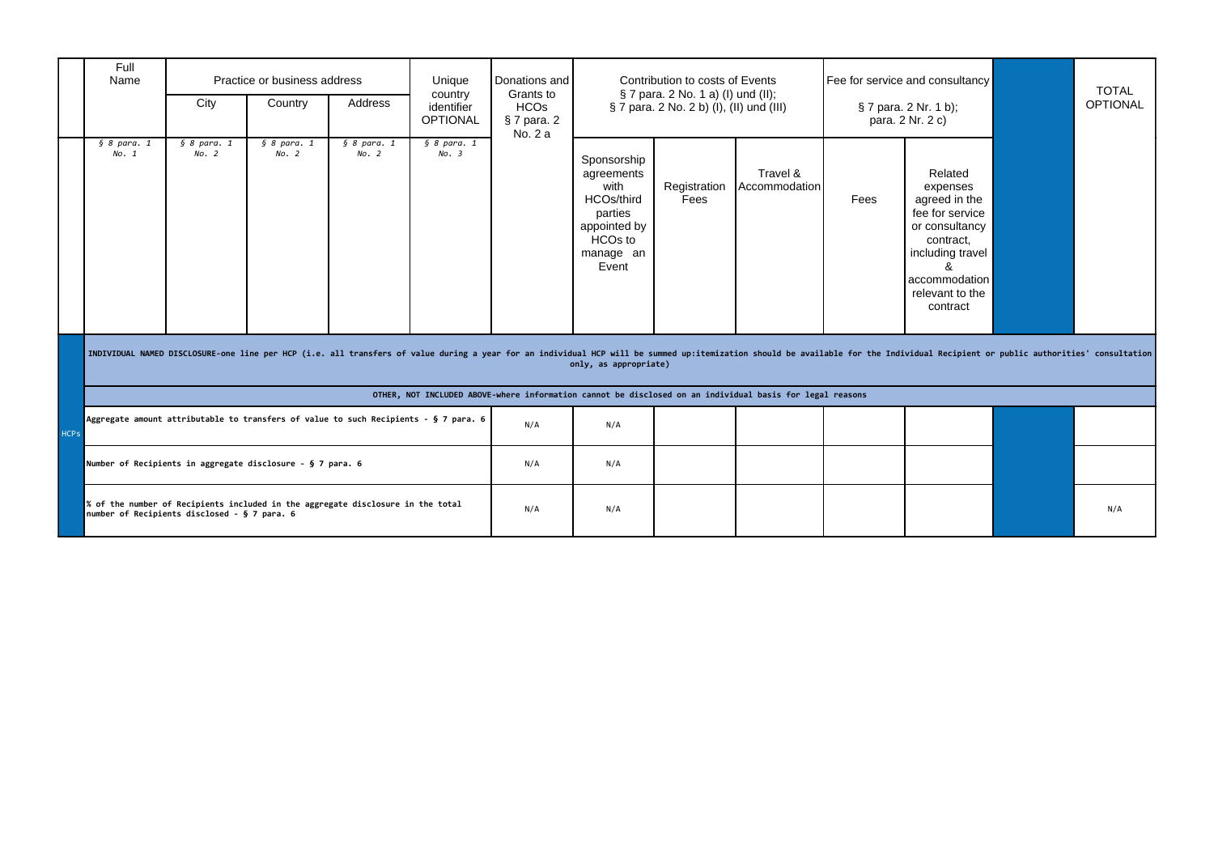|             | Full<br>Name                                                                                             | City                                         | Practice or business address<br>Country | Address                                                                              | Unique<br>country<br>identifier<br><b>OPTIONAL</b> | Donations and<br>Grants to<br><b>HCOs</b><br>§ 7 para. 2<br>No. 2 a |                                                                                                                    | Contribution to costs of Events<br>§ 7 para. 2 No. 1 a) (I) und (II);<br>§ 7 para. 2 No. 2 b) (I), (II) und (III) |                                                                                                                                                                                                                                |      | Fee for service and consultancy<br>§ 7 para. 2 Nr. 1 b);<br>para. 2 Nr. 2 c)                                                                               |  | <b>TOTAL</b><br><b>OPTIONAL</b> |
|-------------|----------------------------------------------------------------------------------------------------------|----------------------------------------------|-----------------------------------------|--------------------------------------------------------------------------------------|----------------------------------------------------|---------------------------------------------------------------------|--------------------------------------------------------------------------------------------------------------------|-------------------------------------------------------------------------------------------------------------------|--------------------------------------------------------------------------------------------------------------------------------------------------------------------------------------------------------------------------------|------|------------------------------------------------------------------------------------------------------------------------------------------------------------|--|---------------------------------|
|             | § 8 <i>para</i> . 1<br>No. 1                                                                             | § 8 <i>para</i> . 1<br>No. 2                 | § 8 <i>para</i> . 1<br>No. 2            | § 8 <i>para</i> . 1<br>No. 2                                                         | § 8 <i>para</i> . 1<br>No. 3                       |                                                                     | Sponsorship<br>agreements<br>with<br>HCOs/third<br>parties<br>appointed by<br><b>HCOs to</b><br>manage an<br>Event | Registration<br>Fees                                                                                              | Travel &<br><b>Accommodation</b>                                                                                                                                                                                               | Fees | Related<br>expenses<br>agreed in the<br>fee for service<br>or consultancy<br>contract,<br>including travel<br>accommodation<br>relevant to the<br>contract |  |                                 |
|             |                                                                                                          |                                              |                                         |                                                                                      |                                                    |                                                                     | only, as appropriate)                                                                                              |                                                                                                                   | INDIVIDUAL NAMED DISCLOSURE-one line per HCP (i.e. all transfers of value during a year for an individual HCP will be summed up:itemization should be available for the Individual Recipient or public authorities' consultati |      |                                                                                                                                                            |  |                                 |
|             | OTHER, NOT INCLUDED ABOVE-where information cannot be disclosed on an individual basis for legal reasons |                                              |                                         |                                                                                      |                                                    |                                                                     |                                                                                                                    |                                                                                                                   |                                                                                                                                                                                                                                |      |                                                                                                                                                            |  |                                 |
| <b>HCPs</b> |                                                                                                          |                                              |                                         | Aggregate amount attributable to transfers of value to such Recipients - § 7 para. 6 |                                                    | N/A                                                                 | N/A                                                                                                                |                                                                                                                   |                                                                                                                                                                                                                                |      |                                                                                                                                                            |  |                                 |
|             | Number of Recipients in aggregate disclosure - § 7 para. 6                                               |                                              |                                         |                                                                                      |                                                    | N/A                                                                 | N/A                                                                                                                |                                                                                                                   |                                                                                                                                                                                                                                |      |                                                                                                                                                            |  |                                 |
|             |                                                                                                          | number of Recipients disclosed - § 7 para. 6 |                                         | % of the number of Recipients included in the aggregate disclosure in the total      |                                                    | N/A                                                                 | N/A                                                                                                                |                                                                                                                   |                                                                                                                                                                                                                                |      |                                                                                                                                                            |  | N/A                             |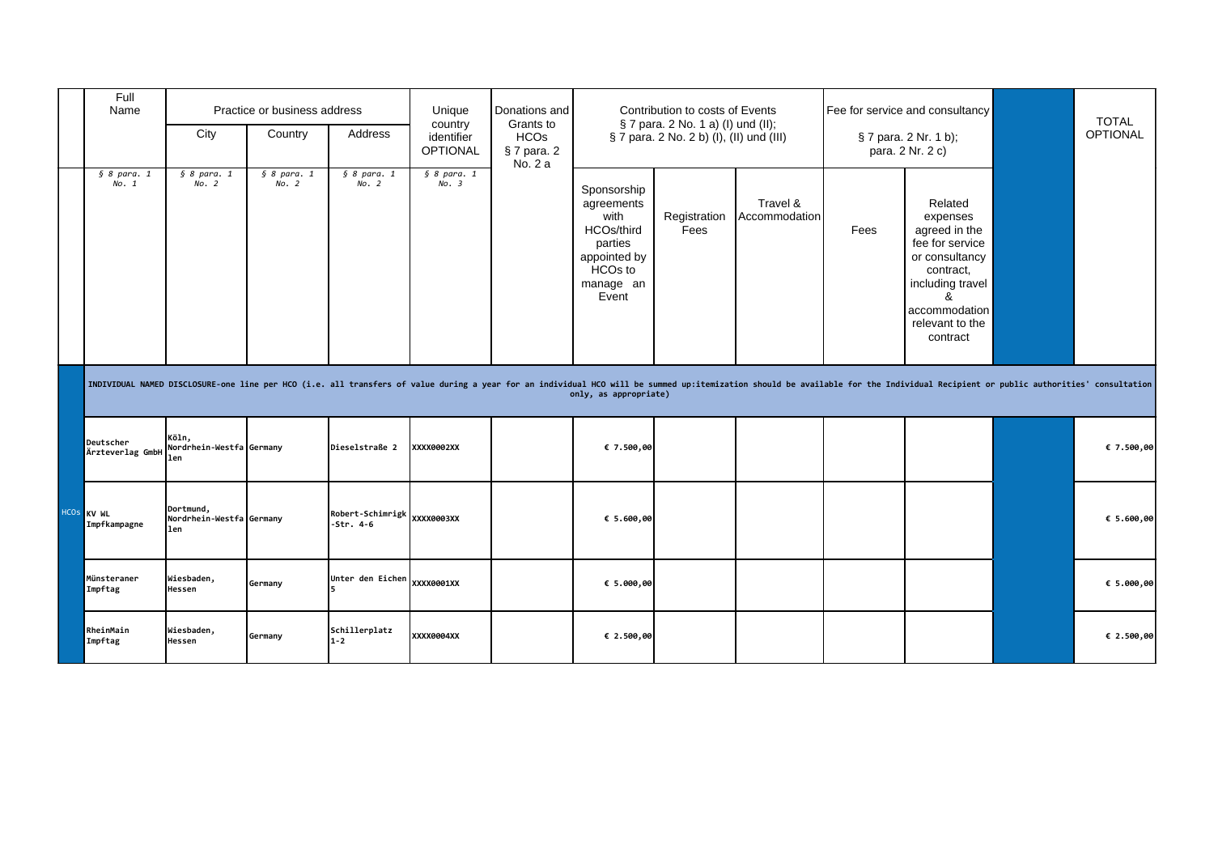| Full<br>Name                  | Practice or business address<br>City<br>Country<br>Address |                              |                                 | Unique<br>country<br><b>HCOs</b><br>identifier<br><b>OPTIONAL</b> |         | Donations and<br>Grants to<br>§ 7 para. 2                                                                   | Contribution to costs of Events<br>§ 7 para. 2 No. 1 a) (I) und (II);<br>§ 7 para. 2 No. 2 b) (I), (II) und (III) |                                                                                                                                                                                                                                |      | Fee for service and consultancy<br>§ 7 para. 2 Nr. 1 b);<br>para. 2 Nr. 2 c)                                                                                    |            | <b>TOTAL</b><br><b>OPTIONAL</b> |
|-------------------------------|------------------------------------------------------------|------------------------------|---------------------------------|-------------------------------------------------------------------|---------|-------------------------------------------------------------------------------------------------------------|-------------------------------------------------------------------------------------------------------------------|--------------------------------------------------------------------------------------------------------------------------------------------------------------------------------------------------------------------------------|------|-----------------------------------------------------------------------------------------------------------------------------------------------------------------|------------|---------------------------------|
| § 8 <i>para</i> . 1<br>No. 1  | § 8 <i>para</i> . 1<br>No. 2                               | § 8 <i>para</i> . 1<br>No. 2 | § 8 <i>para</i> . 1<br>No. 2    | § 8 <i>para</i> . 1<br>No. 3                                      | No. 2 a | Sponsorship<br>agreements<br>with<br>HCOs/third<br>parties<br>appointed by<br>HCOs to<br>manage an<br>Event | Registration<br>Fees                                                                                              | Travel &<br>Accommodation                                                                                                                                                                                                      | Fees | Related<br>expenses<br>agreed in the<br>fee for service<br>or consultancy<br>contract,<br>including travel<br>&<br>accommodation<br>relevant to the<br>contract |            |                                 |
|                               |                                                            |                              |                                 |                                                                   |         | only, as appropriate)                                                                                       |                                                                                                                   | INDIVIDUAL NAMED DISCLOSURE-one line per HCO (i.e. all transfers of value during a year for an individual HCO will be summed up:itemization should be available for the Individual Recipient or public authorities' consultati |      |                                                                                                                                                                 |            |                                 |
| Deutscher<br>Ärzteverlag GmbH | Köln,<br>Nordrhein-Westfa Germany<br>len                   |                              | Dieselstraße 2                  | XXXX0002XX                                                        |         | € 7.500,00                                                                                                  |                                                                                                                   |                                                                                                                                                                                                                                |      |                                                                                                                                                                 | € 7.500,00 |                                 |
| HCOS KV WL<br>Impfkampagne    | Dortmund,<br>Nordrhein-Westfa Germany<br>len               |                              | Robert-Schimrigk<br>$-5tr. 4-6$ | XXXX0003XX                                                        |         | € 5.600,00                                                                                                  |                                                                                                                   |                                                                                                                                                                                                                                |      |                                                                                                                                                                 | € 5.600,00 |                                 |
| Münsteraner<br>Impftag        | Wiesbaden,<br>Hessen                                       | Germany                      | Unter den Eichen                | XXXX0001XX                                                        |         | € 5.000,00                                                                                                  |                                                                                                                   |                                                                                                                                                                                                                                |      |                                                                                                                                                                 | € 5.000,00 |                                 |
| RheinMain<br>Impftag          | Wiesbaden,<br>Hessen                                       | Germany                      | Schillerplatz<br>$1 - 2$        | XXXX0004XX                                                        |         | € 2.500,00                                                                                                  |                                                                                                                   |                                                                                                                                                                                                                                |      |                                                                                                                                                                 | € 2.500,00 |                                 |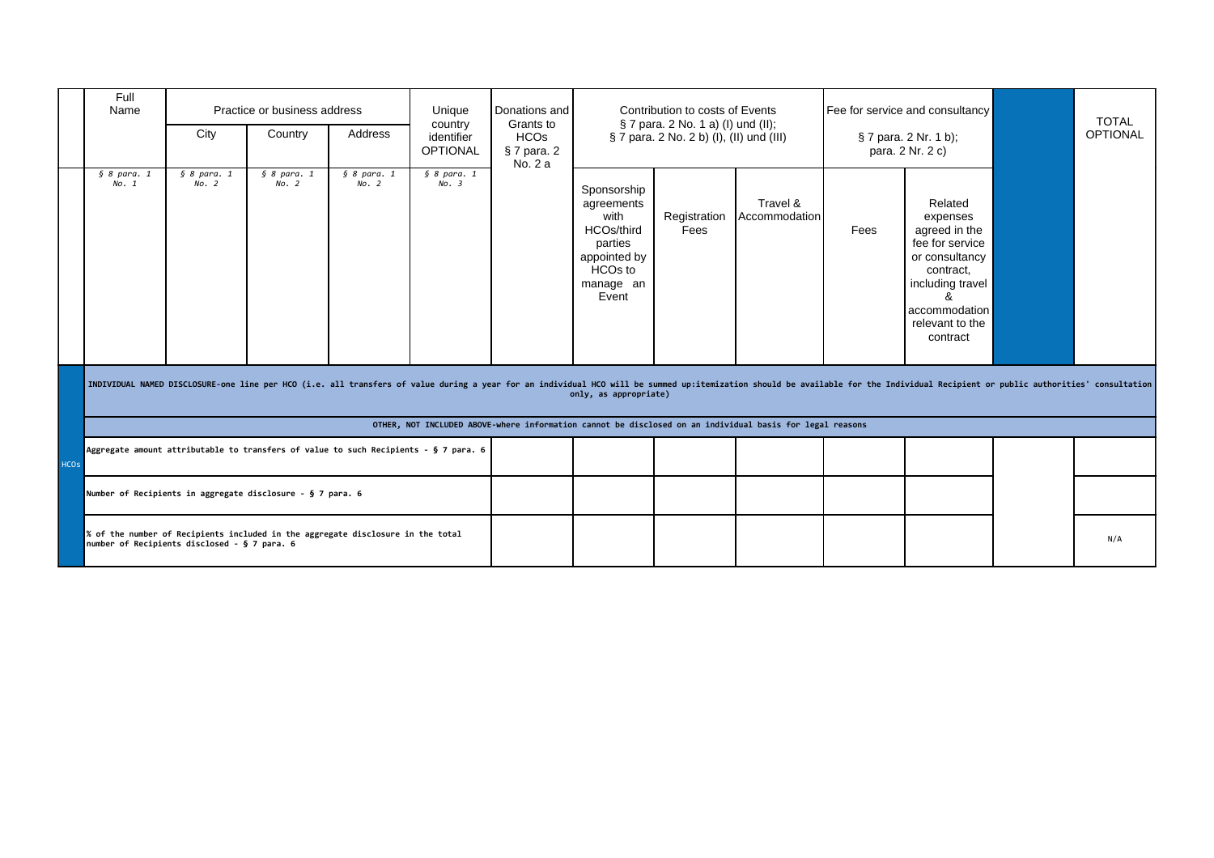|             | Full<br>Name                 | Practice or business address<br>Unique<br>country<br>City<br>Country<br>Address<br>identifier<br><b>OPTIONAL</b> |                                                                                      | Donations and<br>Contribution to costs of Events<br>§ 7 para. 2 No. 1 a) (I) und (II);<br>Grants to<br><b>HCOs</b><br>§ 7 para. 2 No. 2 b) (I), (II) und (III)<br>§ 7 para. 2<br>No. 2 a |                              | Fee for service and consultancy<br>§ 7 para. 2 Nr. 1 b);<br>para. 2 Nr. 2 c) |                                                                                                                         | <b>TOTAL</b><br><b>OPTIONAL</b> |                                                                                                                                                                                                                                |      |                                                                                                                                                                 |     |
|-------------|------------------------------|------------------------------------------------------------------------------------------------------------------|--------------------------------------------------------------------------------------|------------------------------------------------------------------------------------------------------------------------------------------------------------------------------------------|------------------------------|------------------------------------------------------------------------------|-------------------------------------------------------------------------------------------------------------------------|---------------------------------|--------------------------------------------------------------------------------------------------------------------------------------------------------------------------------------------------------------------------------|------|-----------------------------------------------------------------------------------------------------------------------------------------------------------------|-----|
|             | § 8 <i>para</i> . 1<br>No. 1 | § 8 <i>para</i> . 1<br>No. 2                                                                                     | § 8 <i>para</i> . 1<br>No. 2                                                         | § 8 <i>para</i> . 1<br>No. 2                                                                                                                                                             | § 8 <i>para</i> . 1<br>No. 3 |                                                                              | Sponsorship<br>agreements<br>with<br>HCOs/third<br>parties<br>appointed by<br>HCO <sub>s</sub> to<br>manage an<br>Event | Registration<br>Fees            | Travel &<br>Accommodation                                                                                                                                                                                                      | Fees | Related<br>expenses<br>agreed in the<br>fee for service<br>or consultancy<br>contract,<br>including travel<br>ጼ<br>accommodation<br>relevant to the<br>contract |     |
|             |                              |                                                                                                                  |                                                                                      |                                                                                                                                                                                          |                              |                                                                              | only, as appropriate)                                                                                                   |                                 | INDIVIDUAL NAMED DISCLOSURE-one line per HCO (i.e. all transfers of value during a year for an individual HCO will be summed up:itemization should be available for the Individual Recipient or public authorities' consultati |      |                                                                                                                                                                 |     |
|             |                              |                                                                                                                  |                                                                                      |                                                                                                                                                                                          |                              |                                                                              |                                                                                                                         |                                 | OTHER, NOT INCLUDED ABOVE-where information cannot be disclosed on an individual basis for legal reasons                                                                                                                       |      |                                                                                                                                                                 |     |
| <b>HCOs</b> |                              |                                                                                                                  | Aggregate amount attributable to transfers of value to such Recipients - § 7 para. 6 |                                                                                                                                                                                          |                              |                                                                              |                                                                                                                         |                                 |                                                                                                                                                                                                                                |      |                                                                                                                                                                 |     |
|             |                              |                                                                                                                  | Number of Recipients in aggregate disclosure - § 7 para. 6                           |                                                                                                                                                                                          |                              |                                                                              |                                                                                                                         |                                 |                                                                                                                                                                                                                                |      |                                                                                                                                                                 |     |
|             |                              | number of Recipients disclosed - § 7 para. 6                                                                     | % of the number of Recipients included in the aggregate disclosure in the total      |                                                                                                                                                                                          |                              |                                                                              |                                                                                                                         |                                 |                                                                                                                                                                                                                                |      |                                                                                                                                                                 | N/A |